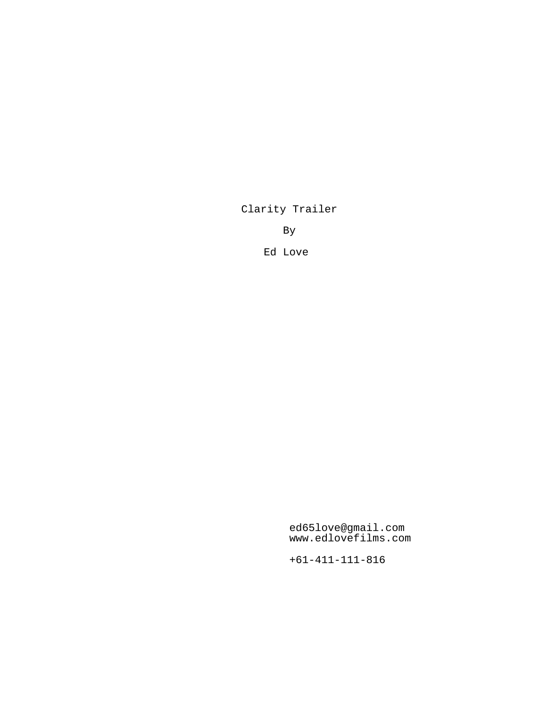Clarity Trailer

By

Ed Love

ed65love@gmail.com www.edlovefilms.com

+61-411-111-816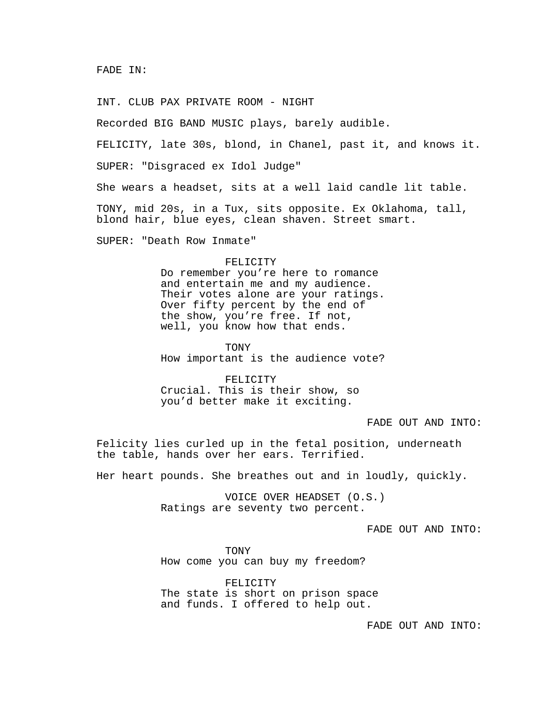INT. CLUB PAX PRIVATE ROOM - NIGHT

Recorded BIG BAND MUSIC plays, barely audible.

FELICITY, late 30s, blond, in Chanel, past it, and knows it.

SUPER: "Disgraced ex Idol Judge"

She wears a headset, sits at a well laid candle lit table.

TONY, mid 20s, in a Tux, sits opposite. Ex Oklahoma, tall, blond hair, blue eyes, clean shaven. Street smart.

SUPER: "Death Row Inmate"

## FELICITY

Do remember you're here to romance and entertain me and my audience. Their votes alone are your ratings. Over fifty percent by the end of the show, you're free. If not, well, you know how that ends.

TONY

How important is the audience vote?

FELICITY Crucial. This is their show, so you'd better make it exciting.

FADE OUT AND INTO:

Felicity lies curled up in the fetal position, underneath the table, hands over her ears. Terrified.

Her heart pounds. She breathes out and in loudly, quickly.

VOICE OVER HEADSET (O.S.) Ratings are seventy two percent.

FADE OUT AND INTO:

TONY How come you can buy my freedom?

FELICITY The state is short on prison space and funds. I offered to help out.

FADE OUT AND INTO: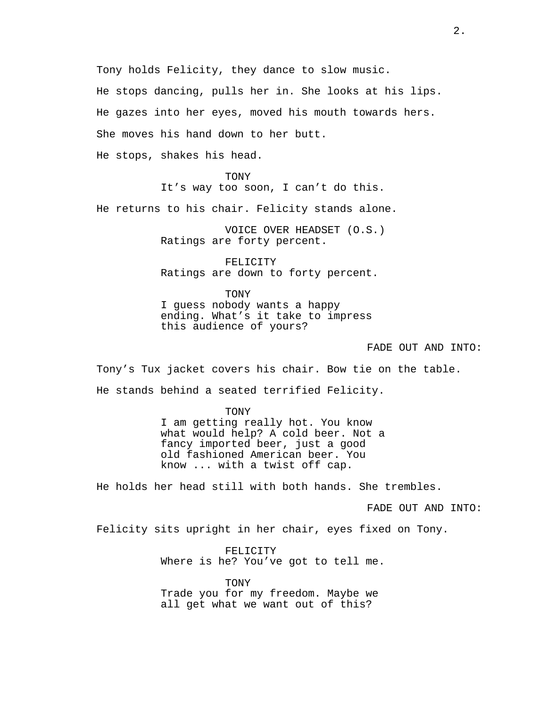Tony holds Felicity, they dance to slow music.

He stops dancing, pulls her in. She looks at his lips.

He gazes into her eyes, moved his mouth towards hers.

She moves his hand down to her butt.

He stops, shakes his head.

TONY It's way too soon, I can't do this.

He returns to his chair. Felicity stands alone.

VOICE OVER HEADSET (O.S.) Ratings are forty percent.

FELICITY Ratings are down to forty percent.

TONY I guess nobody wants a happy ending. What's it take to impress this audience of yours?

## FADE OUT AND INTO:

Tony's Tux jacket covers his chair. Bow tie on the table. He stands behind a seated terrified Felicity.

> TONY I am getting really hot. You know what would help? A cold beer. Not a fancy imported beer, just a good old fashioned American beer. You know ... with a twist off cap.

He holds her head still with both hands. She trembles.

FADE OUT AND INTO:

Felicity sits upright in her chair, eyes fixed on Tony.

FELICITY Where is he? You've got to tell me.

TONY Trade you for my freedom. Maybe we all get what we want out of this?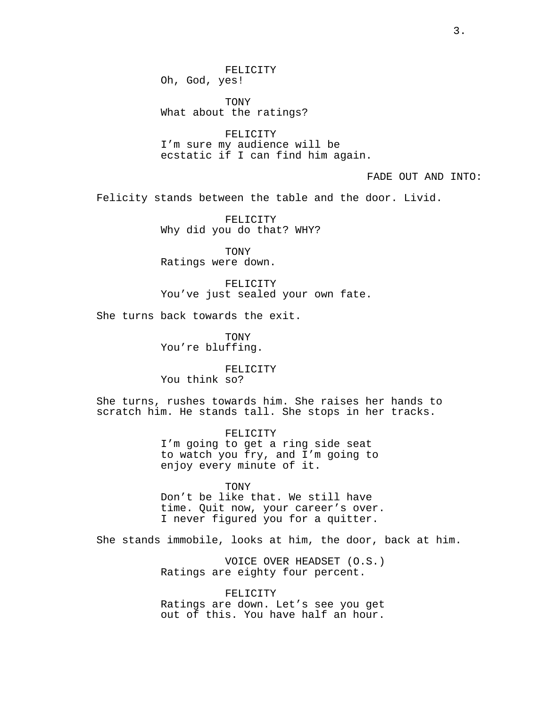Oh, God, yes!

TONY What about the ratings?

FELICITY

FELICITY I'm sure my audience will be ecstatic if I can find him again.

FADE OUT AND INTO:

Felicity stands between the table and the door. Livid.

FELICITY Why did you do that? WHY?

TONY Ratings were down.

FELICITY You've just sealed your own fate.

She turns back towards the exit.

TONY You're bluffing.

FELICITY You think so?

She turns, rushes towards him. She raises her hands to scratch him. He stands tall. She stops in her tracks.

> FELICITY I'm going to get a ring side seat to watch you fry, and I'm going to enjoy every minute of it.

**TONY** Don't be like that. We still have time. Quit now, your career's over. I never figured you for a quitter.

She stands immobile, looks at him, the door, back at him.

VOICE OVER HEADSET (O.S.) Ratings are eighty four percent.

FELICITY Ratings are down. Let's see you get out of this. You have half an hour.